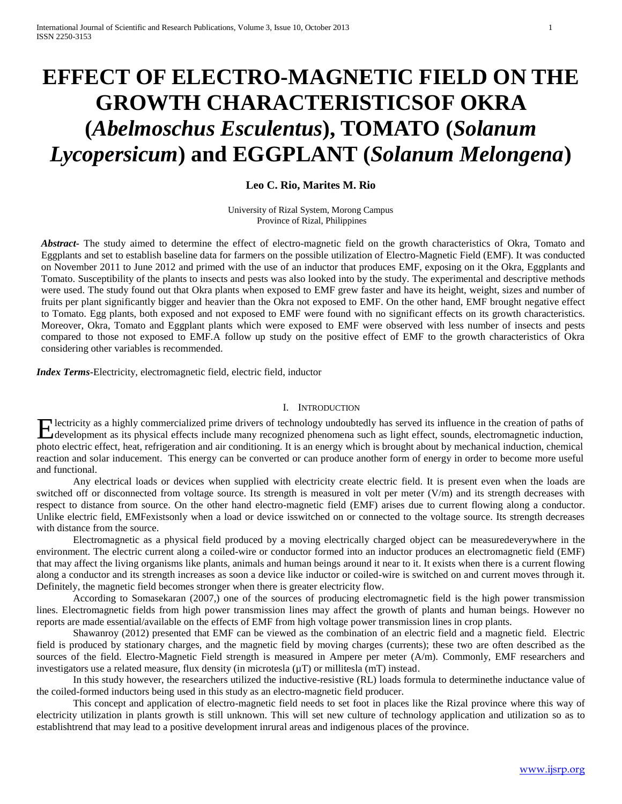# **EFFECT OF ELECTRO-MAGNETIC FIELD ON THE GROWTH CHARACTERISTICSOF OKRA (***Abelmoschus Esculentus***), TOMATO (***Solanum Lycopersicum***) and EGGPLANT (***Solanum Melongena***)**

# **Leo C. Rio, Marites M. Rio**

University of Rizal System, Morong Campus Province of Rizal, Philippines

*Abstract-* The study aimed to determine the effect of electro-magnetic field on the growth characteristics of Okra, Tomato and Eggplants and set to establish baseline data for farmers on the possible utilization of Electro-Magnetic Field (EMF). It was conducted on November 2011 to June 2012 and primed with the use of an inductor that produces EMF, exposing on it the Okra, Eggplants and Tomato. Susceptibility of the plants to insects and pests was also looked into by the study. The experimental and descriptive methods were used. The study found out that Okra plants when exposed to EMF grew faster and have its height, weight, sizes and number of fruits per plant significantly bigger and heavier than the Okra not exposed to EMF. On the other hand, EMF brought negative effect to Tomato. Egg plants, both exposed and not exposed to EMF were found with no significant effects on its growth characteristics. Moreover, Okra, Tomato and Eggplant plants which were exposed to EMF were observed with less number of insects and pests compared to those not exposed to EMF.A follow up study on the positive effect of EMF to the growth characteristics of Okra considering other variables is recommended.

*Index Terms***-**Electricity, electromagnetic field, electric field, inductor

#### I. INTRODUCTION

lectricity as a highly commercialized prime drivers of technology undoubtedly has served its influence in the creation of paths of Hectricity as a highly commercialized prime drivers of technology undoubtedly has served its influence in the creation of paths of development as its physical effects include many recognized phenomena such as light effect, photo electric effect, heat, refrigeration and air conditioning. It is an energy which is brought about by mechanical induction, chemical reaction and solar inducement. This energy can be converted or can produce another form of energy in order to become more useful and functional.

Any electrical loads or devices when supplied with electricity create electric field. It is present even when the loads are switched off or disconnected from voltage source. Its strength is measured in volt per meter  $(V/m)$  and its strength decreases with respect to distance from source. On the other hand electro-magnetic field (EMF) arises due to current flowing along a conductor. Unlike electric field, EMFexistsonly when a load or device isswitched on or connected to the voltage source. Its strength decreases with distance from the source.

Electromagnetic as a physical field produced by a moving electrically charged object can be measuredeverywhere in the environment. The electric current along a coiled-wire or conductor formed into an inductor produces an electromagnetic field (EMF) that may affect the living organisms like plants, animals and human beings around it near to it. It exists when there is a current flowing along a conductor and its strength increases as soon a device like inductor or coiled-wire is switched on and current moves through it. Definitely, the magnetic field becomes stronger when there is greater electricity flow.

According to Somasekaran (2007,) one of the sources of producing electromagnetic field is the high power transmission lines. Electromagnetic fields from high power transmission lines may affect the growth of plants and human beings. However no reports are made essential/available on the effects of EMF from high voltage power transmission lines in crop plants.

Shawanroy (2012) presented that EMF can be viewed as the combination of an electric field and a magnetic field. Electric field is produced by stationary charges, and the magnetic field by moving charges (currents); these two are often described as the sources of the field. Electro-Magnetic Field strength is measured in Ampere per meter (A/m). Commonly, EMF researchers and investigators use a related measure, flux density (in microtesla (µT) or millitesla (mT) instead.

In this study however, the researchers utilized the inductive-resistive (RL) loads formula to determinethe inductance value of the coiled-formed inductors being used in this study as an electro-magnetic field producer.

This concept and application of electro-magnetic field needs to set foot in places like the Rizal province where this way of electricity utilization in plants growth is still unknown. This will set new culture of technology application and utilization so as to establishtrend that may lead to a positive development inrural areas and indigenous places of the province.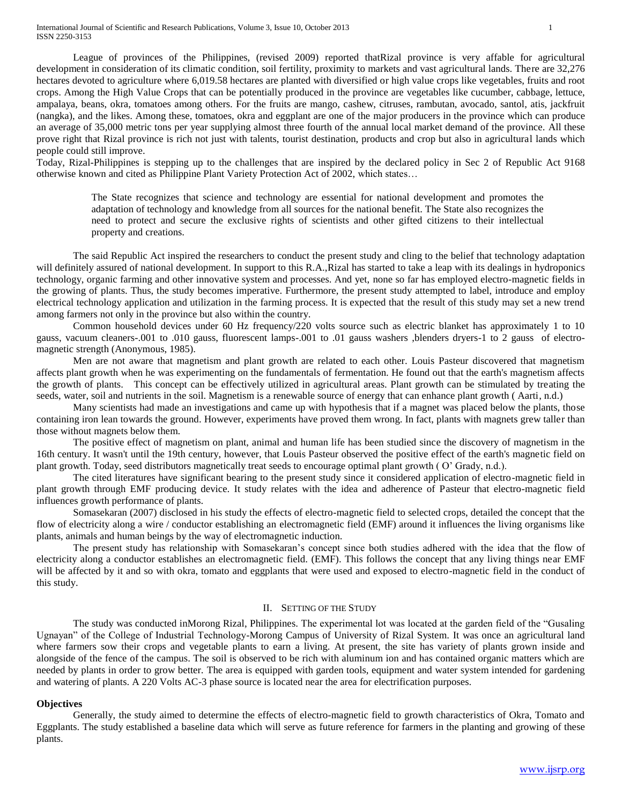League of provinces of the Philippines, (revised 2009) reported thatRizal province is very affable for agricultural development in consideration of its climatic condition, soil fertility, proximity to markets and vast agricultural lands. There are 32,276 hectares devoted to agriculture where 6,019.58 hectares are planted with diversified or high value crops like vegetables, fruits and root crops. Among the High Value Crops that can be potentially produced in the province are vegetables like cucumber, cabbage, lettuce, ampalaya, beans, okra, tomatoes among others. For the fruits are mango, cashew, citruses, rambutan, avocado, santol, atis, jackfruit (nangka), and the likes. Among these, tomatoes, okra and eggplant are one of the major producers in the province which can produce an average of 35,000 metric tons per year supplying almost three fourth of the annual local market demand of the province. All these prove right that Rizal province is rich not just with talents, tourist destination, products and crop but also in agricultural lands which people could still improve.

Today, Rizal-Philippines is stepping up to the challenges that are inspired by the declared policy in Sec 2 of Republic Act 9168 otherwise known and cited as Philippine Plant Variety Protection Act of 2002, which states…

> The State recognizes that science and technology are essential for national development and promotes the adaptation of technology and knowledge from all sources for the national benefit. The State also recognizes the need to protect and secure the exclusive rights of scientists and other gifted citizens to their intellectual property and creations.

The said Republic Act inspired the researchers to conduct the present study and cling to the belief that technology adaptation will definitely assured of national development. In support to this R.A., Rizal has started to take a leap with its dealings in hydroponics technology, organic farming and other innovative system and processes. And yet, none so far has employed electro-magnetic fields in the growing of plants. Thus, the study becomes imperative. Furthermore, the present study attempted to label, introduce and employ electrical technology application and utilization in the farming process. It is expected that the result of this study may set a new trend among farmers not only in the province but also within the country.

Common household devices under 60 Hz frequency/220 volts source such as electric blanket has approximately 1 to 10 gauss, vacuum cleaners-.001 to .010 gauss, fluorescent lamps-.001 to .01 gauss washers ,blenders dryers-1 to 2 gauss of electromagnetic strength (Anonymous, 1985).

Men are not aware that magnetism and plant growth are related to each other. Louis Pasteur discovered that magnetism affects plant growth when he was experimenting on the fundamentals of fermentation. He found out that the earth's magnetism affects the growth of plants. This concept can be effectively utilized in agricultural areas. Plant growth can be stimulated by treating the seeds, water, soil and nutrients in the soil. Magnetism is a renewable source of energy that can enhance plant growth ( Aarti, n.d.)

Many scientists had made an investigations and came up with hypothesis that if a magnet was placed below the plants, those containing iron lean towards the ground. However, experiments have proved them wrong. In fact, plants with magnets grew taller than those without magnets below them.

The positive effect of magnetism on plant, animal and human life has been studied since the discovery of magnetism in the 16th century. It wasn't until the 19th century, however, that Louis Pasteur observed the positive effect of the earth's magnetic field on plant growth. Today, seed distributors magnetically treat seeds to encourage optimal plant growth ( O' Grady, n.d.).

The cited literatures have significant bearing to the present study since it considered application of electro-magnetic field in plant growth through EMF producing device. It study relates with the idea and adherence of Pasteur that electro-magnetic field influences growth performance of plants.

Somasekaran (2007) disclosed in his study the effects of electro-magnetic field to selected crops, detailed the concept that the flow of electricity along a wire / conductor establishing an electromagnetic field (EMF) around it influences the living organisms like plants, animals and human beings by the way of electromagnetic induction.

The present study has relationship with Somasekaran's concept since both studies adhered with the idea that the flow of electricity along a conductor establishes an electromagnetic field. (EMF). This follows the concept that any living things near EMF will be affected by it and so with okra, tomato and eggplants that were used and exposed to electro-magnetic field in the conduct of this study.

## II. SETTING OF THE STUDY

The study was conducted inMorong Rizal, Philippines. The experimental lot was located at the garden field of the "Gusaling Ugnayan" of the College of Industrial Technology-Morong Campus of University of Rizal System. It was once an agricultural land where farmers sow their crops and vegetable plants to earn a living. At present, the site has variety of plants grown inside and alongside of the fence of the campus. The soil is observed to be rich with aluminum ion and has contained organic matters which are needed by plants in order to grow better. The area is equipped with garden tools, equipment and water system intended for gardening and watering of plants. A 220 Volts AC-3 phase source is located near the area for electrification purposes.

# **Objectives**

Generally, the study aimed to determine the effects of electro-magnetic field to growth characteristics of Okra, Tomato and Eggplants. The study established a baseline data which will serve as future reference for farmers in the planting and growing of these plants.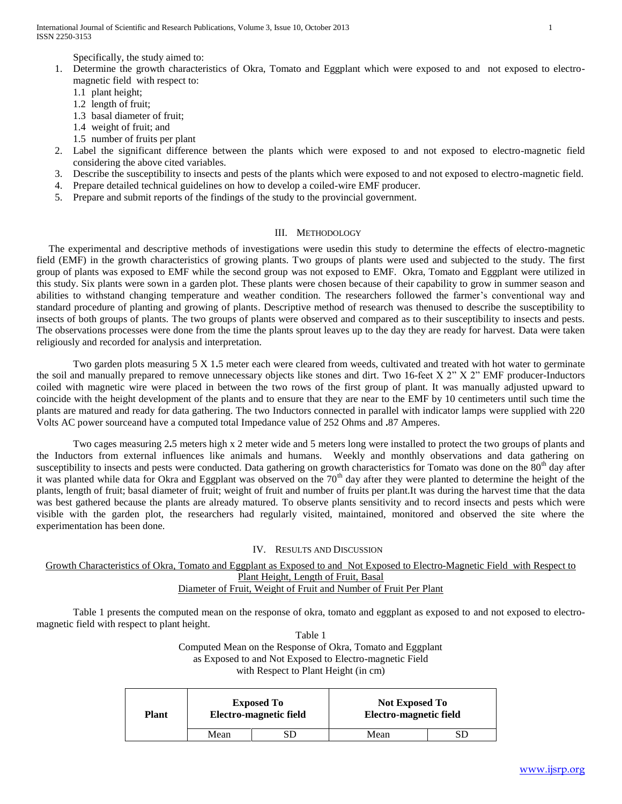International Journal of Scientific and Research Publications, Volume 3, Issue 10, October 2013 1 ISSN 2250-3153

Specifically, the study aimed to:

- 1. Determine the growth characteristics of Okra, Tomato and Eggplant which were exposed to and not exposed to electromagnetic field with respect to:
	- 1.1 plant height;
	- 1.2 length of fruit;
	- 1.3 basal diameter of fruit;
	- 1.4 weight of fruit; and
	- 1.5 number of fruits per plant
- 2. Label the significant difference between the plants which were exposed to and not exposed to electro-magnetic field considering the above cited variables.
- 3. Describe the susceptibility to insects and pests of the plants which were exposed to and not exposed to electro-magnetic field.
- 4. Prepare detailed technical guidelines on how to develop a coiled-wire EMF producer.
- 5. Prepare and submit reports of the findings of the study to the provincial government.

# III. METHODOLOGY

The experimental and descriptive methods of investigations were usedin this study to determine the effects of electro-magnetic field (EMF) in the growth characteristics of growing plants. Two groups of plants were used and subjected to the study. The first group of plants was exposed to EMF while the second group was not exposed to EMF. Okra, Tomato and Eggplant were utilized in this study. Six plants were sown in a garden plot. These plants were chosen because of their capability to grow in summer season and abilities to withstand changing temperature and weather condition. The researchers followed the farmer's conventional way and standard procedure of planting and growing of plants. Descriptive method of research was thenused to describe the susceptibility to insects of both groups of plants. The two groups of plants were observed and compared as to their susceptibility to insects and pests. The observations processes were done from the time the plants sprout leaves up to the day they are ready for harvest. Data were taken religiously and recorded for analysis and interpretation.

Two garden plots measuring 5 X 1**.**5 meter each were cleared from weeds, cultivated and treated with hot water to germinate the soil and manually prepared to remove unnecessary objects like stones and dirt. Two 16-feet X 2" X 2" EMF producer-Inductors coiled with magnetic wire were placed in between the two rows of the first group of plant. It was manually adjusted upward to coincide with the height development of the plants and to ensure that they are near to the EMF by 10 centimeters until such time the plants are matured and ready for data gathering. The two Inductors connected in parallel with indicator lamps were supplied with 220 Volts AC power sourceand have a computed total Impedance value of 252 Ohms and **.**87 Amperes.

Two cages measuring 2**.**5 meters high x 2 meter wide and 5 meters long were installed to protect the two groups of plants and the Inductors from external influences like animals and humans. Weekly and monthly observations and data gathering on susceptibility to insects and pests were conducted. Data gathering on growth characteristics for Tomato was done on the  $80<sup>th</sup>$  day after it was planted while data for Okra and Eggplant was observed on the 70<sup>th</sup> day after they were planted to determine the height of the plants, length of fruit; basal diameter of fruit; weight of fruit and number of fruits per plant.It was during the harvest time that the data was best gathered because the plants are already matured. To observe plants sensitivity and to record insects and pests which were visible with the garden plot, the researchers had regularly visited, maintained, monitored and observed the site where the experimentation has been done.

## IV. RESULTS AND DISCUSSION

Growth Characteristics of Okra, Tomato and Eggplant as Exposed to and Not Exposed to Electro-Magnetic Field with Respect to Plant Height, Length of Fruit, Basal Diameter of Fruit, Weight of Fruit and Number of Fruit Per Plant

Table 1 presents the computed mean on the response of okra, tomato and eggplant as exposed to and not exposed to electromagnetic field with respect to plant height.

> Table 1 Computed Mean on the Response of Okra, Tomato and Eggplant as Exposed to and Not Exposed to Electro-magnetic Field with Respect to Plant Height (in cm)

| <b>Plant</b> | <b>Exposed To</b><br>Electro-magnetic field<br>Mean | <b>Not Exposed To</b><br>Electro-magnetic field |  |
|--------------|-----------------------------------------------------|-------------------------------------------------|--|
|              |                                                     | Mean                                            |  |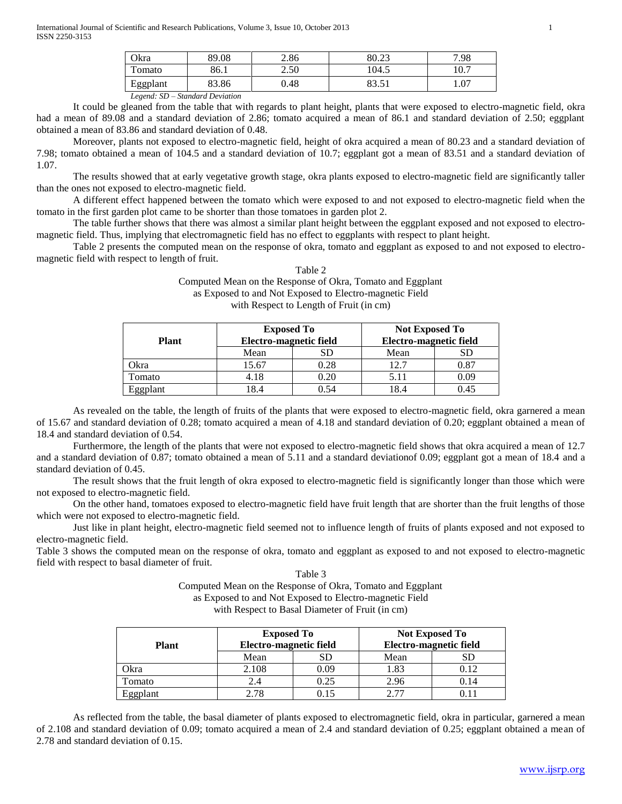| Okra                   | 89.08 | 2.86 | 80.23                       | 7.98 |
|------------------------|-------|------|-----------------------------|------|
| $\mathbf{r}$<br>`omato | 86.1  | 2.50 | 104.5                       | 10.7 |
| T.<br>Eggplant         | 83.86 | 0.48 | ດາ<br>$\epsilon$ 1<br>09.91 | 1.07 |

*Legend: SD – Standard Deviation*

It could be gleaned from the table that with regards to plant height, plants that were exposed to electro-magnetic field, okra had a mean of 89.08 and a standard deviation of 2.86; tomato acquired a mean of 86.1 and standard deviation of 2.50; eggplant obtained a mean of 83.86 and standard deviation of 0.48.

Moreover, plants not exposed to electro-magnetic field, height of okra acquired a mean of 80.23 and a standard deviation of 7.98; tomato obtained a mean of 104.5 and a standard deviation of 10.7; eggplant got a mean of 83.51 and a standard deviation of 1.07.

The results showed that at early vegetative growth stage, okra plants exposed to electro-magnetic field are significantly taller than the ones not exposed to electro-magnetic field.

A different effect happened between the tomato which were exposed to and not exposed to electro-magnetic field when the tomato in the first garden plot came to be shorter than those tomatoes in garden plot 2.

The table further shows that there was almost a similar plant height between the eggplant exposed and not exposed to electromagnetic field. Thus, implying that electromagnetic field has no effect to eggplants with respect to plant height.

Table 2 presents the computed mean on the response of okra, tomato and eggplant as exposed to and not exposed to electromagnetic field with respect to length of fruit.  $T<sub>1</sub>$   $T<sub>2</sub>$   $\alpha$ 

| Table 2                                                    |
|------------------------------------------------------------|
| Computed Mean on the Response of Okra, Tomato and Eggplant |
| as Exposed to and Not Exposed to Electro-magnetic Field    |
| with Respect to Length of Fruit (in cm)                    |

|              | <b>Exposed To</b>      |      | <b>Not Exposed To</b><br>Electro-magnetic field |      |  |
|--------------|------------------------|------|-------------------------------------------------|------|--|
| <b>Plant</b> | Electro-magnetic field |      |                                                 |      |  |
|              | Mean                   | SD   | Mean                                            | SD   |  |
| Okra         | 15.67                  | 0.28 | 12.7                                            | 0.87 |  |
| Tomato       | 4.18                   | 0.20 | 5.11                                            | 0.09 |  |
| Eggplant     | 8.4                    | 0.54 | 18.4                                            | 0.45 |  |

As revealed on the table, the length of fruits of the plants that were exposed to electro-magnetic field, okra garnered a mean of 15.67 and standard deviation of 0.28; tomato acquired a mean of 4.18 and standard deviation of 0.20; eggplant obtained a mean of 18.4 and standard deviation of 0.54.

Furthermore, the length of the plants that were not exposed to electro-magnetic field shows that okra acquired a mean of 12.7 and a standard deviation of 0.87; tomato obtained a mean of 5.11 and a standard deviationof 0.09; eggplant got a mean of 18.4 and a standard deviation of 0.45.

The result shows that the fruit length of okra exposed to electro-magnetic field is significantly longer than those which were not exposed to electro-magnetic field.

On the other hand, tomatoes exposed to electro-magnetic field have fruit length that are shorter than the fruit lengths of those which were not exposed to electro-magnetic field.

Just like in plant height, electro-magnetic field seemed not to influence length of fruits of plants exposed and not exposed to electro-magnetic field.

Table 3 shows the computed mean on the response of okra, tomato and eggplant as exposed to and not exposed to electro-magnetic field with respect to basal diameter of fruit.

> Table 3 Computed Mean on the Response of Okra, Tomato and Eggplant as Exposed to and Not Exposed to Electro-magnetic Field with Respect to Basal Diameter of Fruit (in cm)

| <b>Plant</b> | <b>Exposed To</b><br>Electro-magnetic field |      | <b>Not Exposed To</b><br>Electro-magnetic field |      |  |
|--------------|---------------------------------------------|------|-------------------------------------------------|------|--|
|              | Mean                                        | SD   | Mean                                            |      |  |
| Okra         | 2.108                                       | 0.09 | 1.83                                            | 0.12 |  |
| Tomato       | 2.4                                         | 0.25 | 2.96                                            | 0.14 |  |
| Eggplant     | 178                                         | 0.15 | 2 77                                            |      |  |

As reflected from the table, the basal diameter of plants exposed to electromagnetic field, okra in particular, garnered a mean of 2.108 and standard deviation of 0.09; tomato acquired a mean of 2.4 and standard deviation of 0.25; eggplant obtained a mean of 2.78 and standard deviation of 0.15.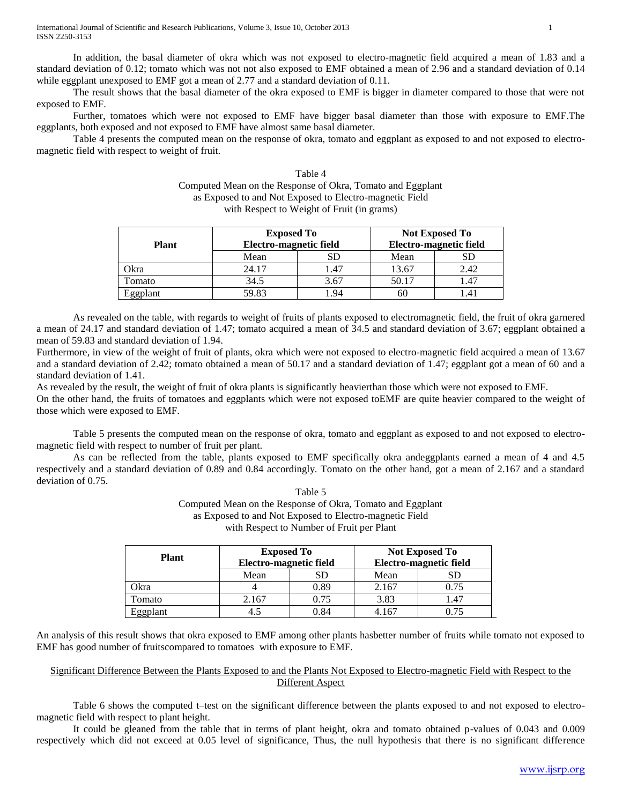In addition, the basal diameter of okra which was not exposed to electro-magnetic field acquired a mean of 1.83 and a standard deviation of 0.12; tomato which was not not also exposed to EMF obtained a mean of 2.96 and a standard deviation of 0.14 while eggplant unexposed to EMF got a mean of 2.77 and a standard deviation of 0.11.

The result shows that the basal diameter of the okra exposed to EMF is bigger in diameter compared to those that were not exposed to EMF.

Further, tomatoes which were not exposed to EMF have bigger basal diameter than those with exposure to EMF.The eggplants, both exposed and not exposed to EMF have almost same basal diameter.

Table 4 presents the computed mean on the response of okra, tomato and eggplant as exposed to and not exposed to electromagnetic field with respect to weight of fruit.

| Table 4                                                    |
|------------------------------------------------------------|
| Computed Mean on the Response of Okra, Tomato and Eggplant |
| as Exposed to and Not Exposed to Electro-magnetic Field    |
| with Respect to Weight of Fruit (in grams)                 |

|              | <b>Exposed To</b>      |      | <b>Not Exposed To</b><br>Electro-magnetic field |      |  |  |
|--------------|------------------------|------|-------------------------------------------------|------|--|--|
| <b>Plant</b> | Electro-magnetic field |      |                                                 |      |  |  |
|              | Mean                   | SD   | Mean                                            | SD   |  |  |
| Okra         | 24.17                  | .47  | 13.67                                           | 2.42 |  |  |
| Tomato       | 34.5                   | 3.67 | 50.17                                           | .47  |  |  |
| Eggplant     | 59.83                  | .94  | 60                                              |      |  |  |

As revealed on the table, with regards to weight of fruits of plants exposed to electromagnetic field, the fruit of okra garnered a mean of 24.17 and standard deviation of 1.47; tomato acquired a mean of 34.5 and standard deviation of 3.67; eggplant obtained a mean of 59.83 and standard deviation of 1.94.

Furthermore, in view of the weight of fruit of plants, okra which were not exposed to electro-magnetic field acquired a mean of 13.67 and a standard deviation of 2.42; tomato obtained a mean of 50.17 and a standard deviation of 1.47; eggplant got a mean of 60 and a standard deviation of 1.41.

As revealed by the result, the weight of fruit of okra plants is significantly heavierthan those which were not exposed to EMF.

On the other hand, the fruits of tomatoes and eggplants which were not exposed toEMF are quite heavier compared to the weight of those which were exposed to EMF.

Table 5 presents the computed mean on the response of okra, tomato and eggplant as exposed to and not exposed to electromagnetic field with respect to number of fruit per plant.

As can be reflected from the table, plants exposed to EMF specifically okra andeggplants earned a mean of 4 and 4.5 respectively and a standard deviation of 0.89 and 0.84 accordingly. Tomato on the other hand, got a mean of 2.167 and a standard deviation of 0.75.

> Table 5 Computed Mean on the Response of Okra, Tomato and Eggplant as Exposed to and Not Exposed to Electro-magnetic Field with Respect to Number of Fruit per Plant

| <b>Plant</b> | <b>Exposed To</b>      |      | <b>Not Exposed To</b>  |           |  |
|--------------|------------------------|------|------------------------|-----------|--|
|              | Electro-magnetic field |      | Electro-magnetic field |           |  |
|              | Mean<br>SD             |      | Mean                   | <b>SD</b> |  |
| Okra         |                        | 0.89 | 2.167                  | 0.75      |  |
| Tomato       | 2.167                  | 0.75 | 3.83                   | 1.47      |  |
| Eggplant     | 4.5                    | 0.84 | 4.167                  |           |  |

An analysis of this result shows that okra exposed to EMF among other plants hasbetter number of fruits while tomato not exposed to EMF has good number of fruitscompared to tomatoes with exposure to EMF.

# Significant Difference Between the Plants Exposed to and the Plants Not Exposed to Electro-magnetic Field with Respect to the Different Aspect

Table 6 shows the computed t–test on the significant difference between the plants exposed to and not exposed to electromagnetic field with respect to plant height.

It could be gleaned from the table that in terms of plant height, okra and tomato obtained p-values of 0.043 and 0.009 respectively which did not exceed at 0.05 level of significance, Thus, the null hypothesis that there is no significant difference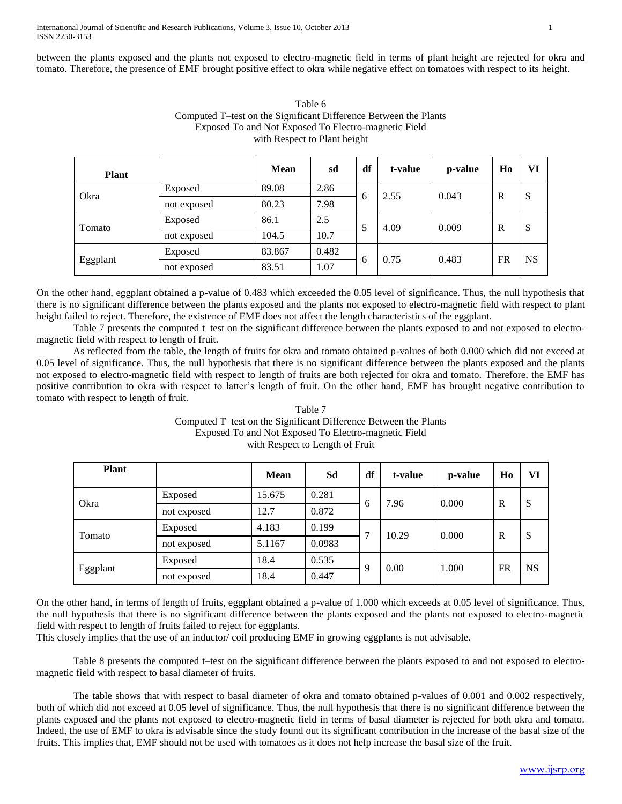between the plants exposed and the plants not exposed to electro-magnetic field in terms of plant height are rejected for okra and tomato. Therefore, the presence of EMF brought positive effect to okra while negative effect on tomatoes with respect to its height.

| <b>Plant</b> |             | <b>Mean</b> | sd    | df | t-value | p-value | Ho        | VI        |
|--------------|-------------|-------------|-------|----|---------|---------|-----------|-----------|
| Okra         | Exposed     | 89.08       | 2.86  |    | 2.55    | 0.043   |           |           |
|              | not exposed | 80.23       | 7.98  | 6  |         |         | R         | S         |
| Tomato       | Exposed     | 86.1        | 2.5   |    | 4.09    | 0.009   | R         | S         |
|              | not exposed | 104.5       | 10.7  |    |         |         |           |           |
| Eggplant     | Exposed     | 83.867      | 0.482 |    | 0.75    | 0.483   |           | <b>NS</b> |
|              | not exposed | 83.51       | 1.07  | h  |         |         | <b>FR</b> |           |

| Table 6                                                          |
|------------------------------------------------------------------|
| Computed T-test on the Significant Difference Between the Plants |
| Exposed To and Not Exposed To Electro-magnetic Field             |
| with Respect to Plant height                                     |

On the other hand, eggplant obtained a p-value of 0.483 which exceeded the 0.05 level of significance. Thus, the null hypothesis that there is no significant difference between the plants exposed and the plants not exposed to electro-magnetic field with respect to plant height failed to reject. Therefore, the existence of EMF does not affect the length characteristics of the eggplant.

Table 7 presents the computed t-test on the significant difference between the plants exposed to and not exposed to electromagnetic field with respect to length of fruit.

As reflected from the table, the length of fruits for okra and tomato obtained p-values of both 0.000 which did not exceed at 0.05 level of significance. Thus, the null hypothesis that there is no significant difference between the plants exposed and the plants not exposed to electro-magnetic field with respect to length of fruits are both rejected for okra and tomato. Therefore, the EMF has positive contribution to okra with respect to latter's length of fruit. On the other hand, EMF has brought negative contribution to tomato with respect to length of fruit.

| Table 7                                                          |
|------------------------------------------------------------------|
| Computed T-test on the Significant Difference Between the Plants |
| Exposed To and Not Exposed To Electro-magnetic Field             |
| with Respect to Length of Fruit                                  |

| <b>Plant</b> |             | <b>Mean</b> | Sd     | df | t-value             | p-value            | Ho | VI        |
|--------------|-------------|-------------|--------|----|---------------------|--------------------|----|-----------|
| Okra         | Exposed     | 15.675      | 0.281  |    | 7.96<br>6           | 0.000              | R  | S         |
|              | not exposed | 12.7        | 0.872  |    |                     |                    |    |           |
| Tomato       | Exposed     | 4.183       | 0.199  | ⇁  | 10.29               | 0.000              | R  | S         |
|              | not exposed | 5.1167      | 0.0983 |    |                     |                    |    |           |
| Eggplant     | Exposed     | 18.4        | 0.535  |    | 0.00<br>$\mathbf Q$ | <b>FR</b><br>1.000 |    | <b>NS</b> |
|              | not exposed | 18.4        | 0.447  |    |                     |                    |    |           |

On the other hand, in terms of length of fruits, eggplant obtained a p-value of 1.000 which exceeds at 0.05 level of significance. Thus, the null hypothesis that there is no significant difference between the plants exposed and the plants not exposed to electro-magnetic field with respect to length of fruits failed to reject for eggplants.

This closely implies that the use of an inductor/ coil producing EMF in growing eggplants is not advisable.

Table 8 presents the computed t–test on the significant difference between the plants exposed to and not exposed to electromagnetic field with respect to basal diameter of fruits.

The table shows that with respect to basal diameter of okra and tomato obtained p-values of 0.001 and 0.002 respectively, both of which did not exceed at 0.05 level of significance. Thus, the null hypothesis that there is no significant difference between the plants exposed and the plants not exposed to electro-magnetic field in terms of basal diameter is rejected for both okra and tomato. Indeed, the use of EMF to okra is advisable since the study found out its significant contribution in the increase of the basal size of the fruits. This implies that, EMF should not be used with tomatoes as it does not help increase the basal size of the fruit.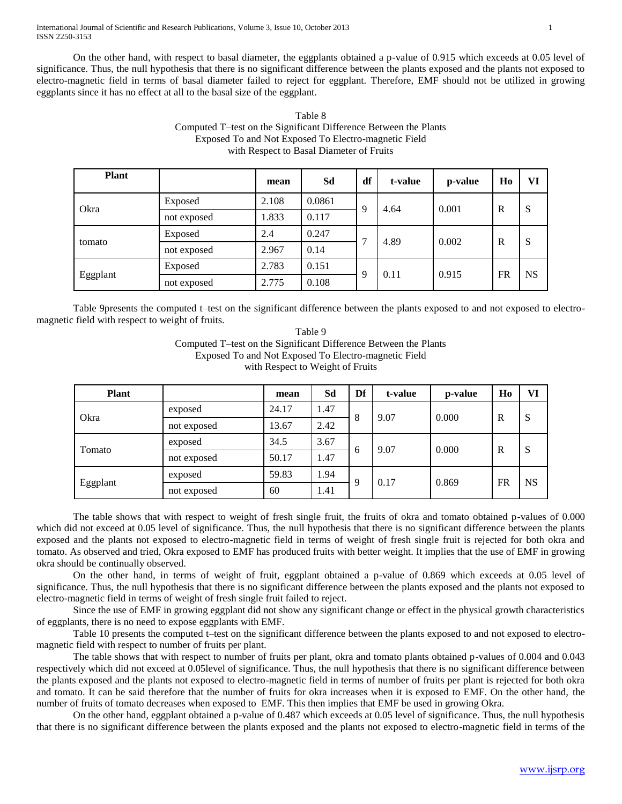On the other hand, with respect to basal diameter, the eggplants obtained a p-value of 0.915 which exceeds at 0.05 level of significance. Thus, the null hypothesis that there is no significant difference between the plants exposed and the plants not exposed to electro-magnetic field in terms of basal diameter failed to reject for eggplant. Therefore, EMF should not be utilized in growing eggplants since it has no effect at all to the basal size of the eggplant.

| Table 8                                                          |
|------------------------------------------------------------------|
| Computed T-test on the Significant Difference Between the Plants |
| Exposed To and Not Exposed To Electro-magnetic Field             |
| with Respect to Basal Diameter of Fruits                         |

| <b>Plant</b> |             | mean  | Sd     | df | t-value | p-value | Ho           | VI        |
|--------------|-------------|-------|--------|----|---------|---------|--------------|-----------|
| Okra         | Exposed     | 2.108 | 0.0861 | 9  | 4.64    | 0.001   | R            | S         |
|              | not exposed | 1.833 | 0.117  |    |         |         |              |           |
| tomato       | Exposed     | 2.4   | 0.247  |    | 4.89    | 0.002   | $\mathbb{R}$ | S         |
|              | not exposed | 2.967 | 0.14   |    |         |         |              |           |
| Eggplant     | Exposed     | 2.783 | 0.151  | 9  | 0.11    | 0.915   | <b>FR</b>    | <b>NS</b> |
|              | not exposed | 2.775 | 0.108  |    |         |         |              |           |

Table 9presents the computed t–test on the significant difference between the plants exposed to and not exposed to electromagnetic field with respect to weight of fruits.

> Table 9 Computed T–test on the Significant Difference Between the Plants Exposed To and Not Exposed To Electro-magnetic Field with Respect to Weight of Fruits

| <b>Plant</b> |             | mean  | Sd   | Df | t-value | p-value | Ho        | VI        |
|--------------|-------------|-------|------|----|---------|---------|-----------|-----------|
| Okra         | exposed     | 24.17 | .47  | 8  | 9.07    | 0.000   | R         | S         |
|              | not exposed | 13.67 | 2.42 |    |         |         |           |           |
| Tomato       | exposed     | 34.5  | 3.67 | 6  | 9.07    | 0.000   | R         | S         |
|              | not exposed | 50.17 | 1.47 |    |         |         |           |           |
| Eggplant     | exposed     | 59.83 | 1.94 | 9  | 0.17    | 0.869   | <b>FR</b> | <b>NS</b> |
|              | not exposed | 60    | .41  |    |         |         |           |           |

The table shows that with respect to weight of fresh single fruit, the fruits of okra and tomato obtained p-values of 0.000 which did not exceed at 0.05 level of significance. Thus, the null hypothesis that there is no significant difference between the plants exposed and the plants not exposed to electro-magnetic field in terms of weight of fresh single fruit is rejected for both okra and tomato. As observed and tried, Okra exposed to EMF has produced fruits with better weight. It implies that the use of EMF in growing okra should be continually observed.

On the other hand, in terms of weight of fruit, eggplant obtained a p-value of 0.869 which exceeds at 0.05 level of significance. Thus, the null hypothesis that there is no significant difference between the plants exposed and the plants not exposed to electro-magnetic field in terms of weight of fresh single fruit failed to reject.

Since the use of EMF in growing eggplant did not show any significant change or effect in the physical growth characteristics of eggplants, there is no need to expose eggplants with EMF.

Table 10 presents the computed t–test on the significant difference between the plants exposed to and not exposed to electromagnetic field with respect to number of fruits per plant.

The table shows that with respect to number of fruits per plant, okra and tomato plants obtained p-values of 0.004 and 0.043 respectively which did not exceed at 0.05level of significance. Thus, the null hypothesis that there is no significant difference between the plants exposed and the plants not exposed to electro-magnetic field in terms of number of fruits per plant is rejected for both okra and tomato. It can be said therefore that the number of fruits for okra increases when it is exposed to EMF. On the other hand, the number of fruits of tomato decreases when exposed to EMF. This then implies that EMF be used in growing Okra.

On the other hand, eggplant obtained a p-value of 0.487 which exceeds at 0.05 level of significance. Thus, the null hypothesis that there is no significant difference between the plants exposed and the plants not exposed to electro-magnetic field in terms of the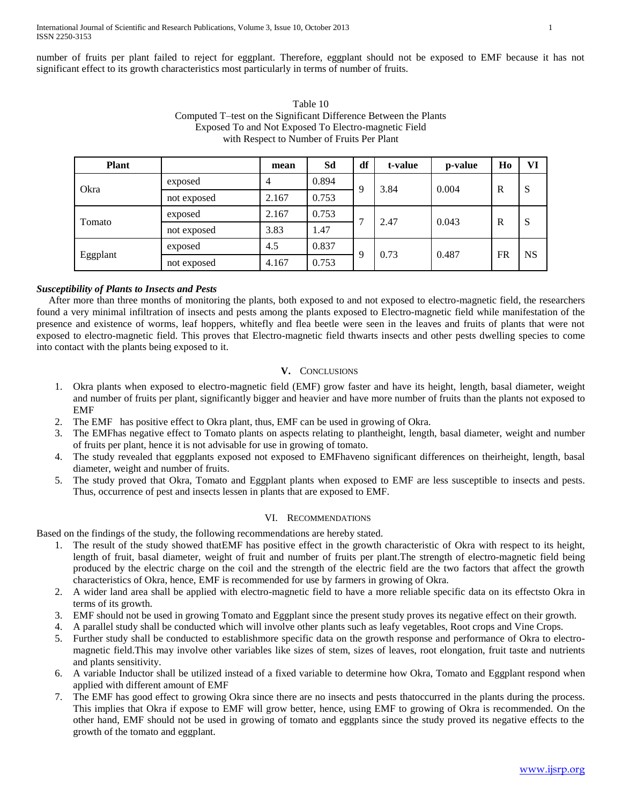number of fruits per plant failed to reject for eggplant. Therefore, eggplant should not be exposed to EMF because it has not significant effect to its growth characteristics most particularly in terms of number of fruits.

| Table 10                                                         |
|------------------------------------------------------------------|
| Computed T-test on the Significant Difference Between the Plants |
| Exposed To and Not Exposed To Electro-magnetic Field             |
| with Respect to Number of Fruits Per Plant                       |

| <b>Plant</b> |             | mean  | Sd    | df | t-value | p-value | Ho           | VI        |
|--------------|-------------|-------|-------|----|---------|---------|--------------|-----------|
| Okra         | exposed     | 4     | 0.894 | Q  | 3.84    | 0.004   | $\mathbb{R}$ | S         |
|              | not exposed | 2.167 | 0.753 |    |         |         |              |           |
| Tomato       | exposed     | 2.167 | 0.753 |    | 2.47    | 0.043   | $\mathbb{R}$ | S         |
|              | not exposed | 3.83  | 1.47  |    |         |         |              |           |
| Eggplant     | exposed     | 4.5   | 0.837 |    | 0.73    | 0.487   | <b>FR</b>    | <b>NS</b> |
|              | not exposed | 4.167 | 0.753 |    |         |         |              |           |

# *Susceptibility of Plants to Insects and Pests*

After more than three months of monitoring the plants, both exposed to and not exposed to electro-magnetic field, the researchers found a very minimal infiltration of insects and pests among the plants exposed to Electro-magnetic field while manifestation of the presence and existence of worms, leaf hoppers, whitefly and flea beetle were seen in the leaves and fruits of plants that were not exposed to electro-magnetic field. This proves that Electro-magnetic field thwarts insects and other pests dwelling species to come into contact with the plants being exposed to it.

## **V.** CONCLUSIONS

- 1. Okra plants when exposed to electro-magnetic field (EMF) grow faster and have its height, length, basal diameter, weight and number of fruits per plant, significantly bigger and heavier and have more number of fruits than the plants not exposed to EMF
- 2. The EMF has positive effect to Okra plant, thus, EMF can be used in growing of Okra.
- 3. The EMFhas negative effect to Tomato plants on aspects relating to plantheight, length, basal diameter, weight and number of fruits per plant, hence it is not advisable for use in growing of tomato.
- 4. The study revealed that eggplants exposed not exposed to EMFhaveno significant differences on theirheight, length, basal diameter, weight and number of fruits.
- 5. The study proved that Okra, Tomato and Eggplant plants when exposed to EMF are less susceptible to insects and pests. Thus, occurrence of pest and insects lessen in plants that are exposed to EMF.

# VI. RECOMMENDATIONS

Based on the findings of the study, the following recommendations are hereby stated.

- 1. The result of the study showed thatEMF has positive effect in the growth characteristic of Okra with respect to its height, length of fruit, basal diameter, weight of fruit and number of fruits per plant.The strength of electro-magnetic field being produced by the electric charge on the coil and the strength of the electric field are the two factors that affect the growth characteristics of Okra, hence, EMF is recommended for use by farmers in growing of Okra.
- 2. A wider land area shall be applied with electro-magnetic field to have a more reliable specific data on its effectsto Okra in terms of its growth.
- 3. EMF should not be used in growing Tomato and Eggplant since the present study proves its negative effect on their growth.
- 4. A parallel study shall be conducted which will involve other plants such as leafy vegetables, Root crops and Vine Crops.
- 5. Further study shall be conducted to establishmore specific data on the growth response and performance of Okra to electromagnetic field.This may involve other variables like sizes of stem, sizes of leaves, root elongation, fruit taste and nutrients and plants sensitivity.
- 6. A variable Inductor shall be utilized instead of a fixed variable to determine how Okra, Tomato and Eggplant respond when applied with different amount of EMF
- 7. The EMF has good effect to growing Okra since there are no insects and pests thatoccurred in the plants during the process. This implies that Okra if expose to EMF will grow better, hence, using EMF to growing of Okra is recommended. On the other hand, EMF should not be used in growing of tomato and eggplants since the study proved its negative effects to the growth of the tomato and eggplant.